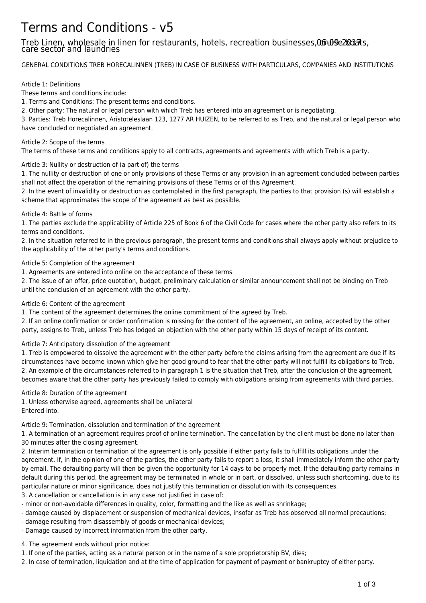# Terms and Conditions - v5

# Treb Linen, wholesale in linen for restaurants, hotels, recreation businesses, 06-09-2017 ats, care sector and laundries

GENERAL CONDITIONS TREB HORECALINNEN (TREB) IN CASE OF BUSINESS WITH PARTICULARS, COMPANIES AND INSTITUTIONS

#### Article 1: Definitions

These terms and conditions include:

1. Terms and Conditions: The present terms and conditions.

2. Other party: The natural or legal person with which Treb has entered into an agreement or is negotiating.

3. Parties: Treb Horecalinnen, Aristoteleslaan 123, 1277 AR HUIZEN, to be referred to as Treb, and the natural or legal person who have concluded or negotiated an agreement.

#### Article 2: Scope of the terms

The terms of these terms and conditions apply to all contracts, agreements and agreements with which Treb is a party.

## Article 3: Nullity or destruction of (a part of) the terms

1. The nullity or destruction of one or only provisions of these Terms or any provision in an agreement concluded between parties shall not affect the operation of the remaining provisions of these Terms or of this Agreement.

2. In the event of invalidity or destruction as contemplated in the first paragraph, the parties to that provision (s) will establish a scheme that approximates the scope of the agreement as best as possible.

#### Article 4: Battle of forms

1. The parties exclude the applicability of Article 225 of Book 6 of the Civil Code for cases where the other party also refers to its terms and conditions.

2. In the situation referred to in the previous paragraph, the present terms and conditions shall always apply without prejudice to the applicability of the other party's terms and conditions.

## Article 5: Completion of the agreement

1. Agreements are entered into online on the acceptance of these terms

2. The issue of an offer, price quotation, budget, preliminary calculation or similar announcement shall not be binding on Treb until the conclusion of an agreement with the other party.

#### Article 6: Content of the agreement

1. The content of the agreement determines the online commitment of the agreed by Treb.

2. If an online confirmation or order confirmation is missing for the content of the agreement, an online, accepted by the other party, assigns to Treb, unless Treb has lodged an objection with the other party within 15 days of receipt of its content.

# Article 7: Anticipatory dissolution of the agreement

1. Treb is empowered to dissolve the agreement with the other party before the claims arising from the agreement are due if its circumstances have become known which give her good ground to fear that the other party will not fulfill its obligations to Treb. 2. An example of the circumstances referred to in paragraph 1 is the situation that Treb, after the conclusion of the agreement, becomes aware that the other party has previously failed to comply with obligations arising from agreements with third parties.

#### Article 8: Duration of the agreement

1. Unless otherwise agreed, agreements shall be unilateral Entered into.

Article 9: Termination, dissolution and termination of the agreement

1. A termination of an agreement requires proof of online termination. The cancellation by the client must be done no later than 30 minutes after the closing agreement.

2. Interim termination or termination of the agreement is only possible if either party fails to fulfill its obligations under the agreement. If, in the opinion of one of the parties, the other party fails to report a loss, it shall immediately inform the other party by email. The defaulting party will then be given the opportunity for 14 days to be properly met. If the defaulting party remains in default during this period, the agreement may be terminated in whole or in part, or dissolved, unless such shortcoming, due to its particular nature or minor significance, does not justify this termination or dissolution with its consequences.

3. A cancellation or cancellation is in any case not justified in case of:

- minor or non-avoidable differences in quality, color, formatting and the like as well as shrinkage;
- damage caused by displacement or suspension of mechanical devices, insofar as Treb has observed all normal precautions;
- damage resulting from disassembly of goods or mechanical devices;
- Damage caused by incorrect information from the other party.
- 4. The agreement ends without prior notice:
- 1. If one of the parties, acting as a natural person or in the name of a sole proprietorship BV, dies;
- 2. In case of termination, liquidation and at the time of application for payment of payment or bankruptcy of either party.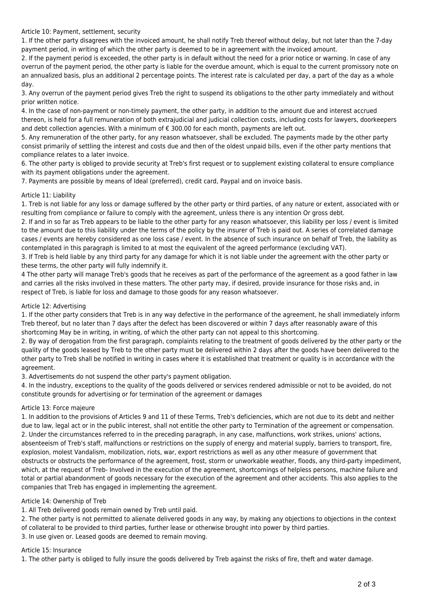Article 10: Payment, settlement, security

1. If the other party disagrees with the invoiced amount, he shall notify Treb thereof without delay, but not later than the 7-day payment period, in writing of which the other party is deemed to be in agreement with the invoiced amount.

2. If the payment period is exceeded, the other party is in default without the need for a prior notice or warning. In case of any overrun of the payment period, the other party is liable for the overdue amount, which is equal to the current promissory note on an annualized basis, plus an additional 2 percentage points. The interest rate is calculated per day, a part of the day as a whole day.

3. Any overrun of the payment period gives Treb the right to suspend its obligations to the other party immediately and without prior written notice.

4. In the case of non-payment or non-timely payment, the other party, in addition to the amount due and interest accrued thereon, is held for a full remuneration of both extrajudicial and judicial collection costs, including costs for lawyers, doorkeepers and debt collection agencies. With a minimum of  $\epsilon$  300.00 for each month, payments are left out.

5. Any remuneration of the other party, for any reason whatsoever, shall be excluded. The payments made by the other party consist primarily of settling the interest and costs due and then of the oldest unpaid bills, even if the other party mentions that compliance relates to a later invoice.

6. The other party is obliged to provide security at Treb's first request or to supplement existing collateral to ensure compliance with its payment obligations under the agreement.

7. Payments are possible by means of Ideal (preferred), credit card, Paypal and on invoice basis.

#### Article 11: Liability

1. Treb is not liable for any loss or damage suffered by the other party or third parties, of any nature or extent, associated with or resulting from compliance or failure to comply with the agreement, unless there is any intention Or gross debt.

2. If and in so far as Treb appears to be liable to the other party for any reason whatsoever, this liability per loss / event is limited to the amount due to this liability under the terms of the policy by the insurer of Treb is paid out. A series of correlated damage cases / events are hereby considered as one loss case / event. In the absence of such insurance on behalf of Treb, the liability as contemplated in this paragraph is limited to at most the equivalent of the agreed performance (excluding VAT).

3. If Treb is held liable by any third party for any damage for which it is not liable under the agreement with the other party or these terms, the other party will fully indemnify it.

4 The other party will manage Treb's goods that he receives as part of the performance of the agreement as a good father in law and carries all the risks involved in these matters. The other party may, if desired, provide insurance for those risks and, in respect of Treb, is liable for loss and damage to those goods for any reason whatsoever.

#### Article 12: Advertising

1. If the other party considers that Treb is in any way defective in the performance of the agreement, he shall immediately inform Treb thereof, but no later than 7 days after the defect has been discovered or within 7 days after reasonably aware of this shortcoming May be in writing, in writing, of which the other party can not appeal to this shortcoming.

2. By way of derogation from the first paragraph, complaints relating to the treatment of goods delivered by the other party or the quality of the goods leased by Treb to the other party must be delivered within 2 days after the goods have been delivered to the other party to Treb shall be notified in writing in cases where it is established that treatment or quality is in accordance with the agreement.

3. Advertisements do not suspend the other party's payment obligation.

4. In the industry, exceptions to the quality of the goods delivered or services rendered admissible or not to be avoided, do not constitute grounds for advertising or for termination of the agreement or damages

#### Article 13: Force majeure

1. In addition to the provisions of Articles 9 and 11 of these Terms, Treb's deficiencies, which are not due to its debt and neither due to law, legal act or in the public interest, shall not entitle the other party to Termination of the agreement or compensation. 2. Under the circumstances referred to in the preceding paragraph, in any case, malfunctions, work strikes, unions' actions, absenteeism of Treb's staff, malfunctions or restrictions on the supply of energy and material supply, barriers to transport, fire, explosion, molest Vandalism, mobilization, riots, war, export restrictions as well as any other measure of government that obstructs or obstructs the performance of the agreement, frost, storm or unworkable weather, floods, any third-party impediment, which, at the request of Treb- Involved in the execution of the agreement, shortcomings of helpless persons, machine failure and total or partial abandonment of goods necessary for the execution of the agreement and other accidents. This also applies to the companies that Treb has engaged in implementing the agreement.

#### Article 14: Ownership of Treb

1. All Treb delivered goods remain owned by Treb until paid.

2. The other party is not permitted to alienate delivered goods in any way, by making any objections to objections in the context of collateral to be provided to third parties, further lease or otherwise brought into power by third parties.

3. In use given or. Leased goods are deemed to remain moving.

# Article 15: Insurance

1. The other party is obliged to fully insure the goods delivered by Treb against the risks of fire, theft and water damage.